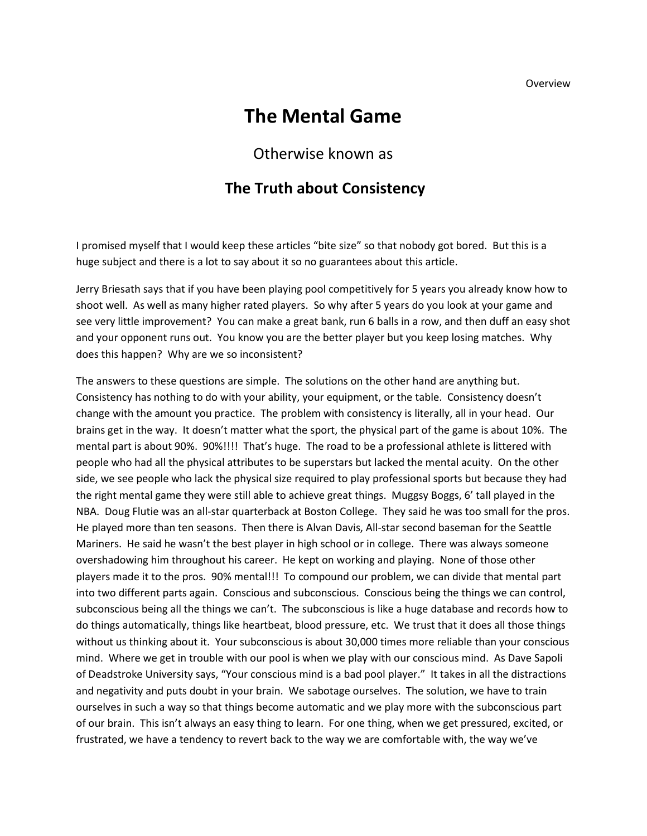Overview

## **The Mental Game**

## Otherwise known as

## **The Truth about Consistency**

I promised myself that I would keep these articles "bite size" so that nobody got bored. But this is a huge subject and there is a lot to say about it so no guarantees about this article.

Jerry Briesath says that if you have been playing pool competitively for 5 years you already know how to shoot well. As well as many higher rated players. So why after 5 years do you look at your game and see very little improvement? You can make a great bank, run 6 balls in a row, and then duff an easy shot and your opponent runs out. You know you are the better player but you keep losing matches. Why does this happen? Why are we so inconsistent?

The answers to these questions are simple. The solutions on the other hand are anything but. Consistency has nothing to do with your ability, your equipment, or the table. Consistency doesn't change with the amount you practice. The problem with consistency is literally, all in your head. Our brains get in the way. It doesn't matter what the sport, the physical part of the game is about 10%. The mental part is about 90%. 90%!!!! That's huge. The road to be a professional athlete is littered with people who had all the physical attributes to be superstars but lacked the mental acuity. On the other side, we see people who lack the physical size required to play professional sports but because they had the right mental game they were still able to achieve great things. Muggsy Boggs, 6' tall played in the NBA. Doug Flutie was an all-star quarterback at Boston College. They said he was too small for the pros. He played more than ten seasons. Then there is Alvan Davis, All-star second baseman for the Seattle Mariners. He said he wasn't the best player in high school or in college. There was always someone overshadowing him throughout his career. He kept on working and playing. None of those other players made it to the pros. 90% mental!!! To compound our problem, we can divide that mental part into two different parts again. Conscious and subconscious. Conscious being the things we can control, subconscious being all the things we can't. The subconscious is like a huge database and records how to do things automatically, things like heartbeat, blood pressure, etc. We trust that it does all those things without us thinking about it. Your subconscious is about 30,000 times more reliable than your conscious mind. Where we get in trouble with our pool is when we play with our conscious mind. As Dave Sapoli of Deadstroke University says, "Your conscious mind is a bad pool player." It takes in all the distractions and negativity and puts doubt in your brain. We sabotage ourselves. The solution, we have to train ourselves in such a way so that things become automatic and we play more with the subconscious part of our brain. This isn't always an easy thing to learn. For one thing, when we get pressured, excited, or frustrated, we have a tendency to revert back to the way we are comfortable with, the way we've